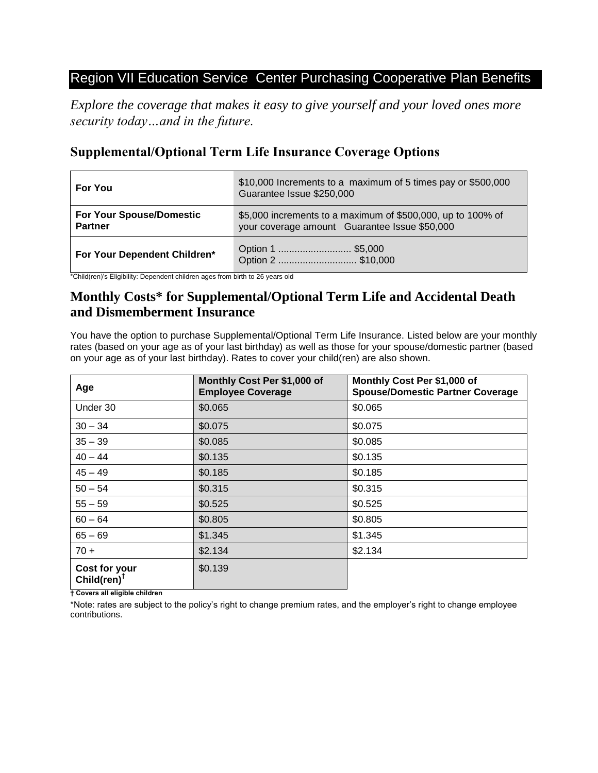## Region VII Education Service Center Purchasing Cooperative Plan Benefits

*Explore the coverage that makes it easy to give yourself and your loved ones more security today…and in the future.*

## **Supplemental/Optional Term Life Insurance Coverage Options**

| <b>For You</b>                                    | \$10,000 Increments to a maximum of 5 times pay or \$500,000<br>Guarantee Issue \$250,000                    |
|---------------------------------------------------|--------------------------------------------------------------------------------------------------------------|
| <b>For Your Spouse/Domestic</b><br><b>Partner</b> | \$5,000 increments to a maximum of \$500,000, up to 100% of<br>your coverage amount Guarantee Issue \$50,000 |
| For Your Dependent Children*                      | Option 1  \$5,000<br>Option 2  \$10,000                                                                      |

\*Child(ren)'s Eligibility: Dependent children ages from birth to 26 years old

## **Monthly Costs\* for Supplemental/Optional Term Life and Accidental Death and Dismemberment Insurance**

You have the option to purchase Supplemental/Optional Term Life Insurance. Listed below are your monthly rates (based on your age as of your last birthday) as well as those for your spouse/domestic partner (based on your age as of your last birthday). Rates to cover your child(ren) are also shown.

| Age                             | Monthly Cost Per \$1,000 of<br><b>Employee Coverage</b> | Monthly Cost Per \$1,000 of<br><b>Spouse/Domestic Partner Coverage</b> |
|---------------------------------|---------------------------------------------------------|------------------------------------------------------------------------|
| Under 30                        | \$0.065                                                 | \$0.065                                                                |
| $30 - 34$                       | \$0.075                                                 | \$0.075                                                                |
| $35 - 39$                       | \$0.085                                                 | \$0.085                                                                |
| $40 - 44$                       | \$0.135                                                 | \$0.135                                                                |
| $45 - 49$                       | \$0.185                                                 | \$0.185                                                                |
| $50 - 54$                       | \$0.315                                                 | \$0.315                                                                |
| $55 - 59$                       | \$0.525                                                 | \$0.525                                                                |
| $60 - 64$                       | \$0.805                                                 | \$0.805                                                                |
| $65 - 69$                       | \$1.345                                                 | \$1.345                                                                |
| $70 +$                          | \$2.134                                                 | \$2.134                                                                |
| Cost for your<br>Child(ren) $†$ | \$0.139                                                 |                                                                        |

**† Covers all eligible children**

\*Note: rates are subject to the policy's right to change premium rates, and the employer's right to change employee contributions.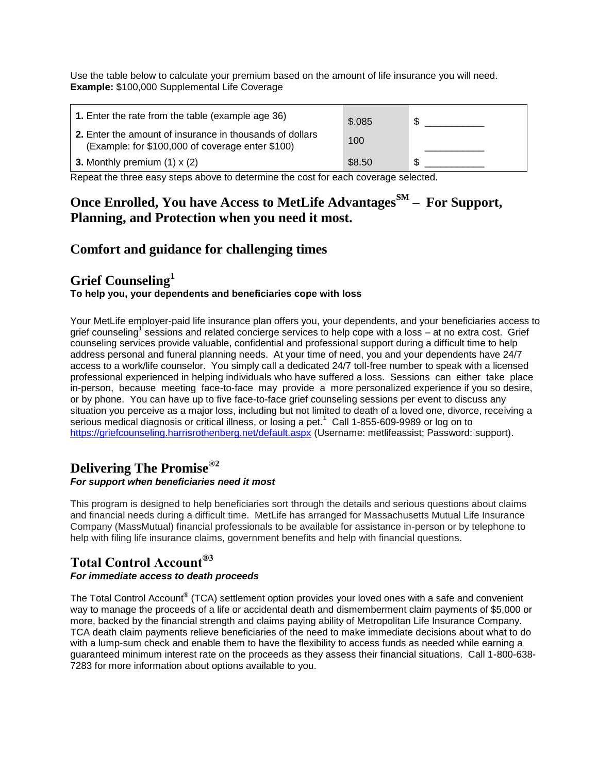Use the table below to calculate your premium based on the amount of life insurance you will need. **Example:** \$100,000 Supplemental Life Coverage

| 1. Enter the rate from the table (example age 36)                                                                   | \$.085 | ß. |
|---------------------------------------------------------------------------------------------------------------------|--------|----|
| <b>2.</b> Enter the amount of insurance in thousands of dollars<br>(Example: for \$100,000 of coverage enter \$100) | 100    |    |
| <b>3.</b> Monthly premium $(1) \times (2)$                                                                          | \$8.50 |    |

Repeat the three easy steps above to determine the cost for each coverage selected.

## **Once Enrolled, You have Access to MetLife AdvantagesSM – For Support, Planning, and Protection when you need it most.**

## **Comfort and guidance for challenging times**

### **Grief Counseling<sup>1</sup> To help you, your dependents and beneficiaries cope with loss**

Your MetLife employer-paid life insurance plan offers you, your dependents, and your beneficiaries access to grief counseling<sup>1</sup> sessions and related concierge services to help cope with a loss – at no extra cost. Grief counseling services provide valuable, confidential and professional support during a difficult time to help address personal and funeral planning needs. At your time of need, you and your dependents have 24/7 access to a work/life counselor. You simply call a dedicated 24/7 toll-free number to speak with a licensed professional experienced in helping individuals who have suffered a loss. Sessions can either take place in-person, because meeting face-to-face may provide a more personalized experience if you so desire, or by phone. You can have up to five face-to-face grief counseling sessions per event to discuss any situation you perceive as a major loss, including but not limited to death of a loved one, divorce, receiving a serious medical diagnosis or critical illness, or losing a pet.<sup>1</sup> Call 1-855-609-9989 or log on to https://griefcounseling.harrisrothenberg.net/default.aspx (Username: metlifeassist; Password: support).

## **Delivering The Promise®2** *For support when beneficiaries need it most*

This program is designed to help beneficiaries sort through the details and serious questions about claims and financial needs during a difficult time. MetLife has arranged for Massachusetts Mutual Life Insurance Company (MassMutual) financial professionals to be available for assistance in-person or by telephone to help with filing life insurance claims, government benefits and help with financial questions.

### **Total Control Account®3** *For immediate access to death proceeds*

The Total Control Account® (TCA) settlement option provides your loved ones with a safe and convenient way to manage the proceeds of a life or accidental death and dismemberment claim payments of \$5,000 or more, backed by the financial strength and claims paying ability of Metropolitan Life Insurance Company. TCA death claim payments relieve beneficiaries of the need to make immediate decisions about what to do with a lump-sum check and enable them to have the flexibility to access funds as needed while earning a guaranteed minimum interest rate on the proceeds as they assess their financial situations. Call 1-800-638- 7283 for more information about options available to you.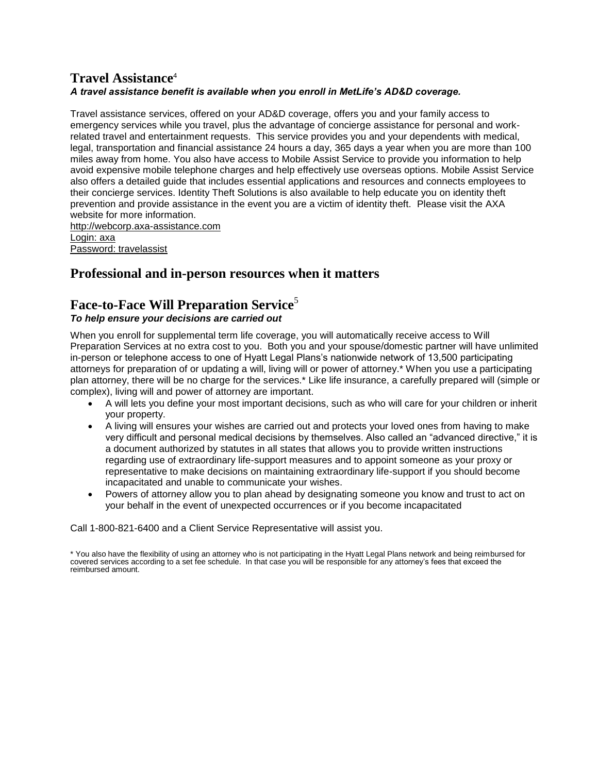### **Travel Assistance**<sup>4</sup> *A travel assistance benefit is available when you enroll in MetLife's AD&D coverage.*

Travel assistance services, offered on your AD&D coverage, offers you and your family access to emergency services while you travel, plus the advantage of concierge assistance for personal and workrelated travel and entertainment requests. This service provides you and your dependents with medical, legal, transportation and financial assistance 24 hours a day, 365 days a year when you are more than 100 miles away from home. You also have access to Mobile Assist Service to provide you information to help avoid expensive mobile telephone charges and help effectively use overseas options. Mobile Assist Service also offers a detailed guide that includes essential applications and resources and connects employees to their concierge services. Identity Theft Solutions is also available to help educate you on identity theft prevention and provide assistance in the event you are a victim of identity theft. Please visit the AXA website for more information.

http://webcorp.axa-assistance.com Login: axa Password: travelassist

## **Professional and in-person resources when it matters**

# **Face-to-Face Will Preparation Service**<sup>5</sup>

#### *To help ensure your decisions are carried out*

When you enroll for supplemental term life coverage, you will automatically receive access to Will Preparation Services at no extra cost to you. Both you and your spouse/domestic partner will have unlimited in-person or telephone access to one of Hyatt Legal Plans's nationwide network of 13,500 participating attorneys for preparation of or updating a will, living will or power of attorney.\* When you use a participating plan attorney, there will be no charge for the services.\* Like life insurance, a carefully prepared will (simple or complex), living will and power of attorney are important.

- A will lets you define your most important decisions, such as who will care for your children or inherit your property.
- A living will ensures your wishes are carried out and protects your loved ones from having to make very difficult and personal medical decisions by themselves. Also called an "advanced directive," it is a document authorized by statutes in all states that allows you to provide written instructions regarding use of extraordinary life-support measures and to appoint someone as your proxy or representative to make decisions on maintaining extraordinary life-support if you should become incapacitated and unable to communicate your wishes.
- Powers of attorney allow you to plan ahead by designating someone you know and trust to act on your behalf in the event of unexpected occurrences or if you become incapacitated

Call 1-800-821-6400 and a Client Service Representative will assist you.

<sup>\*</sup> You also have the flexibility of using an attorney who is not participating in the Hyatt Legal Plans network and being reimbursed for covered services according to a set fee schedule. In that case you will be responsible for any attorney's fees that exceed the reimbursed amount.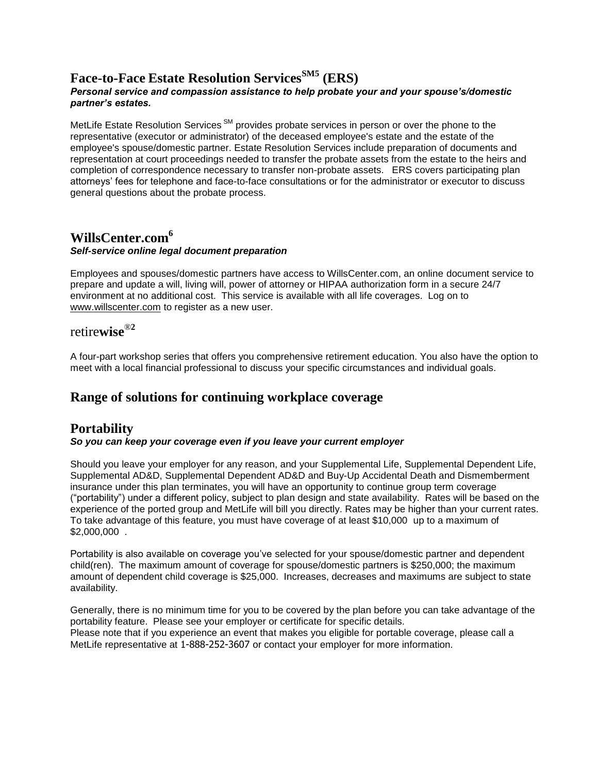## **Face-to-Face Estate Resolution ServicesSM5 (ERS)**

#### *Personal service and compassion assistance to help probate your and your spouse's/domestic partner's estates.*

MetLife Estate Resolution Services<sup>SM</sup> provides probate services in person or over the phone to the representative (executor or administrator) of the deceased employee's estate and the estate of the employee's spouse/domestic partner. Estate Resolution Services include preparation of documents and representation at court proceedings needed to transfer the probate assets from the estate to the heirs and completion of correspondence necessary to transfer non-probate assets. ERS covers participating plan attorneys' fees for telephone and face-to-face consultations or for the administrator or executor to discuss general questions about the probate process.

## **WillsCenter.com<sup>6</sup>**

#### *Self-service online legal document preparation*

Employees and spouses/domestic partners have access to WillsCenter.com, an online document service to prepare and update a will, living will, power of attorney or HIPAA authorization form in a secure 24/7 environment at no additional cost. This service is available with all life coverages. Log on to www.willscenter.com to register as a new user.

# retire**wise**®**<sup>2</sup>**

A four-part workshop series that offers you comprehensive retirement education. You also have the option to meet with a local financial professional to discuss your specific circumstances and individual goals.

## **Range of solutions for continuing workplace coverage**

#### **Portability** *So you can keep your coverage even if you leave your current employer*

Should you leave your employer for any reason, and your Supplemental Life, Supplemental Dependent Life, Supplemental AD&D, Supplemental Dependent AD&D and Buy-Up Accidental Death and Dismemberment insurance under this plan terminates, you will have an opportunity to continue group term coverage ("portability") under a different policy, subject to plan design and state availability. Rates will be based on the experience of the ported group and MetLife will bill you directly. Rates may be higher than your current rates. To take advantage of this feature, you must have coverage of at least \$10,000 up to a maximum of \$2,000,000 .

Portability is also available on coverage you've selected for your spouse/domestic partner and dependent child(ren). The maximum amount of coverage for spouse/domestic partners is \$250,000; the maximum amount of dependent child coverage is \$25,000. Increases, decreases and maximums are subject to state availability.

Generally, there is no minimum time for you to be covered by the plan before you can take advantage of the portability feature. Please see your employer or certificate for specific details. Please note that if you experience an event that makes you eligible for portable coverage, please call a MetLife representative at 1-888-252-3607 or contact your employer for more information.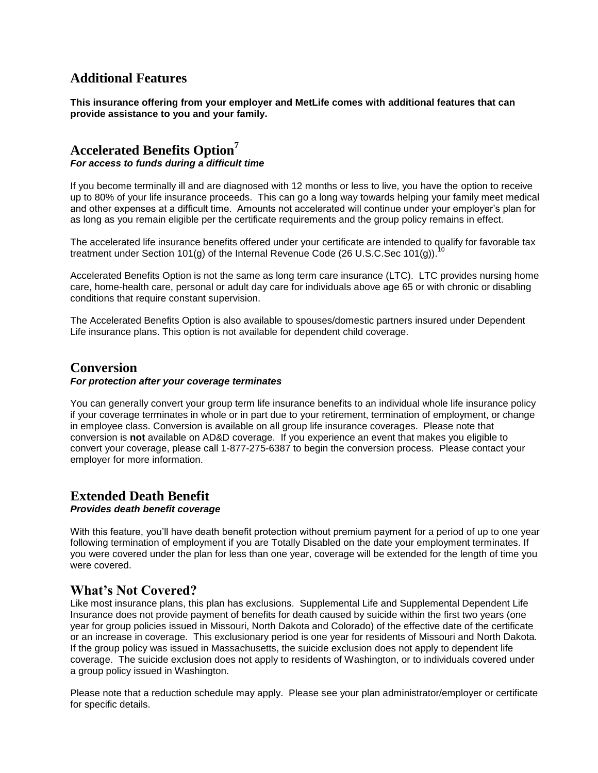## **Additional Features**

**This insurance offering from your employer and MetLife comes with additional features that can provide assistance to you and your family.**

## **Accelerated Benefits Option<sup>7</sup>**

#### *For access to funds during a difficult time*

If you become terminally ill and are diagnosed with 12 months or less to live, you have the option to receive up to 80% of your life insurance proceeds. This can go a long way towards helping your family meet medical and other expenses at a difficult time. Amounts not accelerated will continue under your employer's plan for as long as you remain eligible per the certificate requirements and the group policy remains in effect.

The accelerated life insurance benefits offered under your certificate are intended to qualify for favorable tax treatment under Section 101(g) of the Internal Revenue Code (26 U.S.C.Sec 101(g)).

Accelerated Benefits Option is not the same as long term care insurance (LTC). LTC provides nursing home care, home-health care, personal or adult day care for individuals above age 65 or with chronic or disabling conditions that require constant supervision.

The Accelerated Benefits Option is also available to spouses/domestic partners insured under Dependent Life insurance plans. This option is not available for dependent child coverage.

#### **Conversion** *For protection after your coverage terminates*

You can generally convert your group term life insurance benefits to an individual whole life insurance policy if your coverage terminates in whole or in part due to your retirement, termination of employment, or change in employee class. Conversion is available on all group life insurance coverages. Please note that conversion is **not** available on AD&D coverage. If you experience an event that makes you eligible to convert your coverage, please call 1-877-275-6387 to begin the conversion process. Please contact your employer for more information.

## **Extended Death Benefit**

#### *Provides death benefit coverage*

With this feature, you'll have death benefit protection without premium payment for a period of up to one year following termination of employment if you are Totally Disabled on the date your employment terminates. If you were covered under the plan for less than one year, coverage will be extended for the length of time you were covered.

### **What's Not Covered?**

Like most insurance plans, this plan has exclusions. Supplemental Life and Supplemental Dependent Life Insurance does not provide payment of benefits for death caused by suicide within the first two years (one year for group policies issued in Missouri, North Dakota and Colorado) of the effective date of the certificate or an increase in coverage. This exclusionary period is one year for residents of Missouri and North Dakota. If the group policy was issued in Massachusetts, the suicide exclusion does not apply to dependent life coverage. The suicide exclusion does not apply to residents of Washington, or to individuals covered under a group policy issued in Washington.

Please note that a reduction schedule may apply. Please see your plan administrator/employer or certificate for specific details.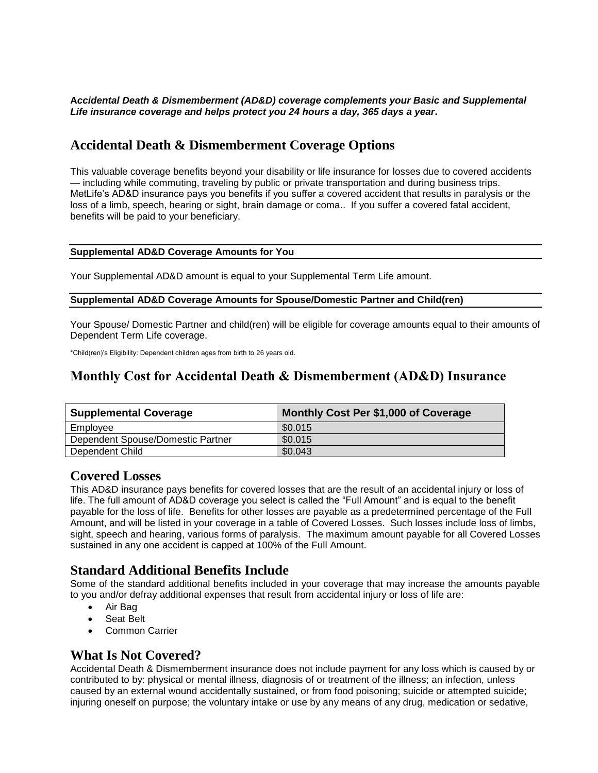**A***ccidental Death & Dismemberment (AD&D) coverage complements your Basic and Supplemental Life insurance coverage and helps protect you 24 hours a day, 365 days a year***.**

## **Accidental Death & Dismemberment Coverage Options**

This valuable coverage benefits beyond your disability or life insurance for losses due to covered accidents — including while commuting, traveling by public or private transportation and during business trips. MetLife's AD&D insurance pays you benefits if you suffer a covered accident that results in paralysis or the loss of a limb, speech, hearing or sight, brain damage or coma.. If you suffer a covered fatal accident, benefits will be paid to your beneficiary.

#### **Supplemental AD&D Coverage Amounts for You**

Your Supplemental AD&D amount is equal to your Supplemental Term Life amount.

#### **Supplemental AD&D Coverage Amounts for Spouse/Domestic Partner and Child(ren)**

Your Spouse/ Domestic Partner and child(ren) will be eligible for coverage amounts equal to their amounts of Dependent Term Life coverage.

\*Child(ren)'s Eligibility: Dependent children ages from birth to 26 years old.

### **Monthly Cost for Accidental Death & Dismemberment (AD&D) Insurance**

| <b>Supplemental Coverage</b>      | Monthly Cost Per \$1,000 of Coverage |
|-----------------------------------|--------------------------------------|
| Employee                          | \$0.015                              |
| Dependent Spouse/Domestic Partner | \$0.015                              |
| Dependent Child                   | \$0.043                              |

### **Covered Losses**

This AD&D insurance pays benefits for covered losses that are the result of an accidental injury or loss of life. The full amount of AD&D coverage you select is called the "Full Amount" and is equal to the benefit payable for the loss of life. Benefits for other losses are payable as a predetermined percentage of the Full Amount, and will be listed in your coverage in a table of Covered Losses. Such losses include loss of limbs, sight, speech and hearing, various forms of paralysis. The maximum amount payable for all Covered Losses sustained in any one accident is capped at 100% of the Full Amount.

## **Standard Additional Benefits Include**

Some of the standard additional benefits included in your coverage that may increase the amounts payable to you and/or defray additional expenses that result from accidental injury or loss of life are:

- Air Bag
- Seat Belt
- Common Carrier

## **What Is Not Covered?**

Accidental Death & Dismemberment insurance does not include payment for any loss which is caused by or contributed to by: physical or mental illness, diagnosis of or treatment of the illness; an infection, unless caused by an external wound accidentally sustained, or from food poisoning; suicide or attempted suicide; injuring oneself on purpose; the voluntary intake or use by any means of any drug, medication or sedative,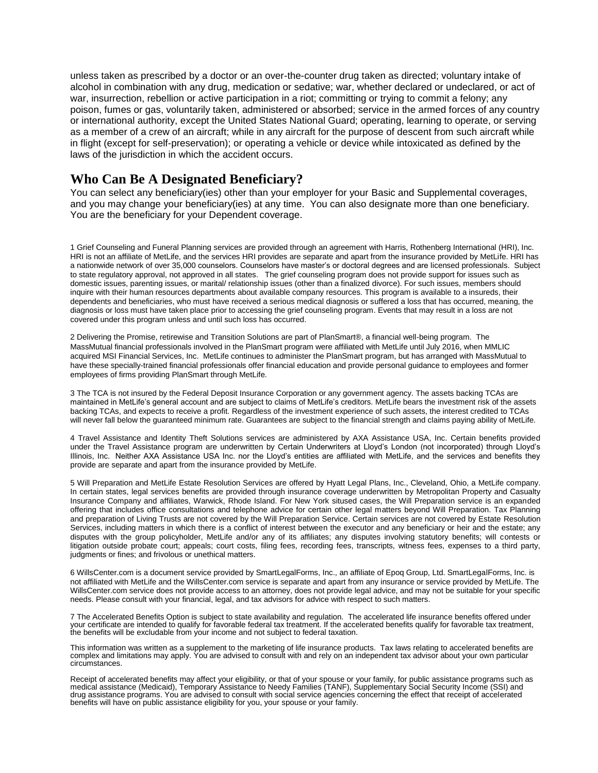unless taken as prescribed by a doctor or an over-the-counter drug taken as directed; voluntary intake of alcohol in combination with any drug, medication or sedative; war, whether declared or undeclared, or act of war, insurrection, rebellion or active participation in a riot; committing or trying to commit a felony; any poison, fumes or gas, voluntarily taken, administered or absorbed; service in the armed forces of any country or international authority, except the United States National Guard; operating, learning to operate, or serving as a member of a crew of an aircraft; while in any aircraft for the purpose of descent from such aircraft while in flight (except for self-preservation); or operating a vehicle or device while intoxicated as defined by the laws of the jurisdiction in which the accident occurs.

## **Who Can Be A Designated Beneficiary?**

You can select any beneficiary(ies) other than your employer for your Basic and Supplemental coverages, and you may change your beneficiary(ies) at any time. You can also designate more than one beneficiary. You are the beneficiary for your Dependent coverage.

1 Grief Counseling and Funeral Planning services are provided through an agreement with Harris, Rothenberg International (HRI), Inc. HRI is not an affiliate of MetLife, and the services HRI provides are separate and apart from the insurance provided by MetLife. HRI has a nationwide network of over 35,000 counselors. Counselors have master's or doctoral degrees and are licensed professionals. Subject to state regulatory approval, not approved in all states. The grief counseling program does not provide support for issues such as domestic issues, parenting issues, or marital/ relationship issues (other than a finalized divorce). For such issues, members should inquire with their human resources departments about available company resources. This program is available to a insureds, their dependents and beneficiaries, who must have received a serious medical diagnosis or suffered a loss that has occurred, meaning, the diagnosis or loss must have taken place prior to accessing the grief counseling program. Events that may result in a loss are not covered under this program unless and until such loss has occurred.

2 Delivering the Promise, retirewise and Transition Solutions are part of PlanSmart®, a financial well-being program. The MassMutual financial professionals involved in the PlanSmart program were affiliated with MetLife until July 2016, when MMLIC acquired MSI Financial Services, Inc. MetLife continues to administer the PlanSmart program, but has arranged with MassMutual to have these specially-trained financial professionals offer financial education and provide personal guidance to employees and former employees of firms providing PlanSmart through MetLife.

3 The TCA is not insured by the Federal Deposit Insurance Corporation or any government agency. The assets backing TCAs are maintained in MetLife's general account and are subject to claims of MetLife's creditors. MetLife bears the investment risk of the assets backing TCAs, and expects to receive a profit. Regardless of the investment experience of such assets, the interest credited to TCAs will never fall below the guaranteed minimum rate. Guarantees are subject to the financial strength and claims paying ability of MetLife.

4 Travel Assistance and Identity Theft Solutions services are administered by AXA Assistance USA, Inc. Certain benefits provided under the Travel Assistance program are underwritten by Certain Underwriters at Lloyd's London (not incorporated) through Lloyd's Illinois, Inc. Neither AXA Assistance USA Inc. nor the Lloyd's entities are affiliated with MetLife, and the services and benefits they provide are separate and apart from the insurance provided by MetLife.

5 Will Preparation and MetLife Estate Resolution Services are offered by Hyatt Legal Plans, Inc., Cleveland, Ohio, a MetLife company. In certain states, legal services benefits are provided through insurance coverage underwritten by Metropolitan Property and Casualty Insurance Company and affiliates, Warwick, Rhode Island. For New York sitused cases, the Will Preparation service is an expanded offering that includes office consultations and telephone advice for certain other legal matters beyond Will Preparation. Tax Planning and preparation of Living Trusts are not covered by the Will Preparation Service. Certain services are not covered by Estate Resolution Services, including matters in which there is a conflict of interest between the executor and any beneficiary or heir and the estate; any disputes with the group policyholder, MetLife and/or any of its affiliates; any disputes involving statutory benefits; will contests or litigation outside probate court; appeals; court costs, filing fees, recording fees, transcripts, witness fees, expenses to a third party, judgments or fines; and frivolous or unethical matters.

6 WillsCenter.com is a document service provided by SmartLegalForms, Inc., an affiliate of Epoq Group, Ltd. SmartLegalForms, Inc. is not affiliated with MetLife and the WillsCenter.com service is separate and apart from any insurance or service provided by MetLife. The WillsCenter.com service does not provide access to an attorney, does not provide legal advice, and may not be suitable for your specific needs. Please consult with your financial, legal, and tax advisors for advice with respect to such matters.

7 The Accelerated Benefits Option is subject to state availability and regulation. The accelerated life insurance benefits offered under your certificate are intended to qualify for favorable federal tax treatment. If the accelerated benefits qualify for favorable tax treatment, the benefits will be excludable from your income and not subject to federal taxation.

This information was written as a supplement to the marketing of life insurance products. Tax laws relating to accelerated benefits are complex and limitations may apply. You are advised to consult with and rely on an independent tax advisor about your own particular circumstances.

Receipt of accelerated benefits may affect your eligibility, or that of your spouse or your family, for public assistance programs such as medical assistance (Medicaid), Temporary Assistance to Needy Families (TANF), Supplementary Social Security Income (SSI) and drug assistance programs. You are advised to consult with social service agencies concerning the effect that receipt of accelerated benefits will have on public assistance eligibility for you, your spouse or your family.